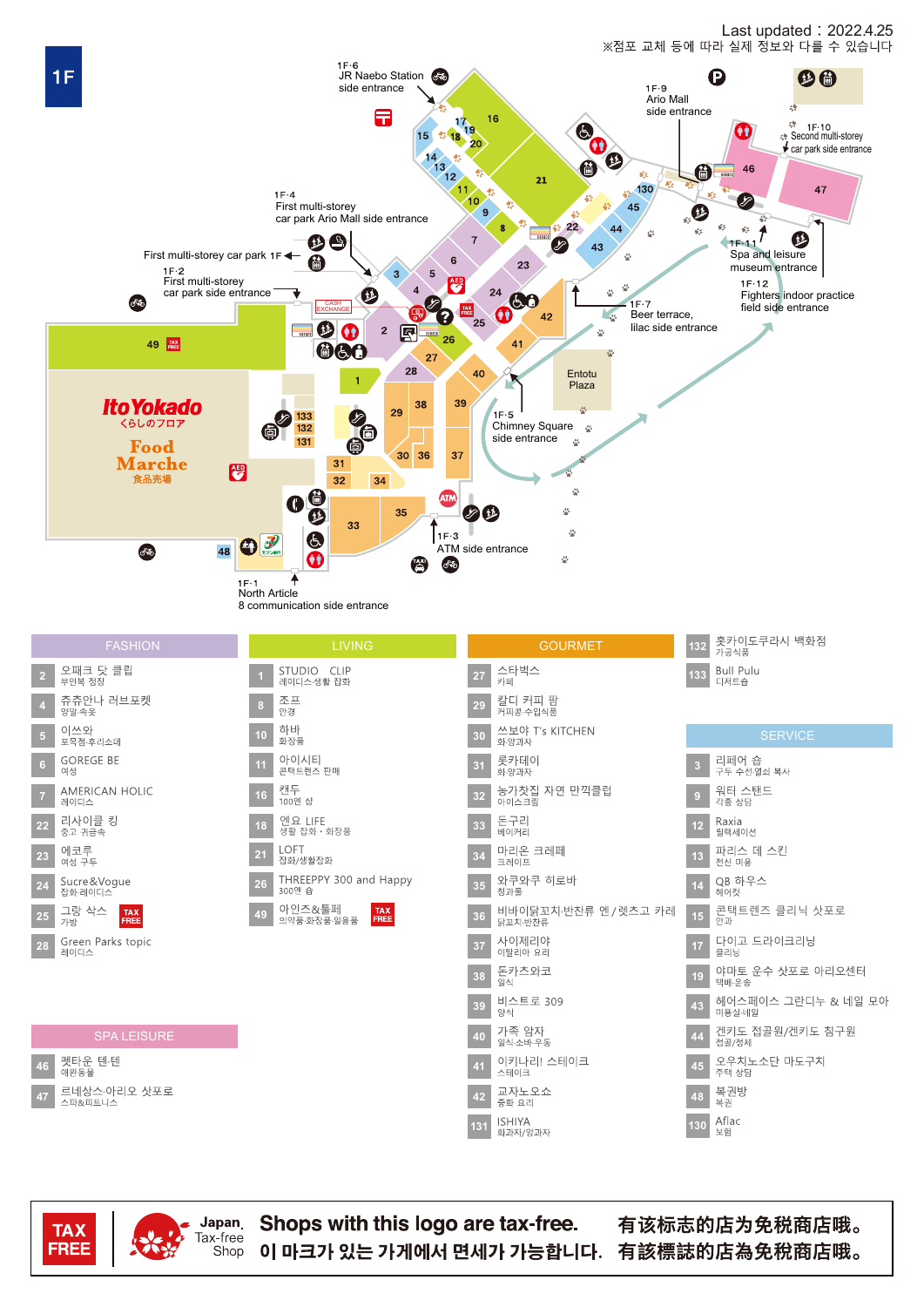## **Last updated : 2022.4.25**<br>X점포 교체 등에 따라 실제 정보와 다를 수 있습니다





Shops with this logo are tax-free. 이 마크가 있는 가게에서 면세가 가능합니다. 有該標誌的店為免稅商店哦。

有该标志的店为免税商店哦。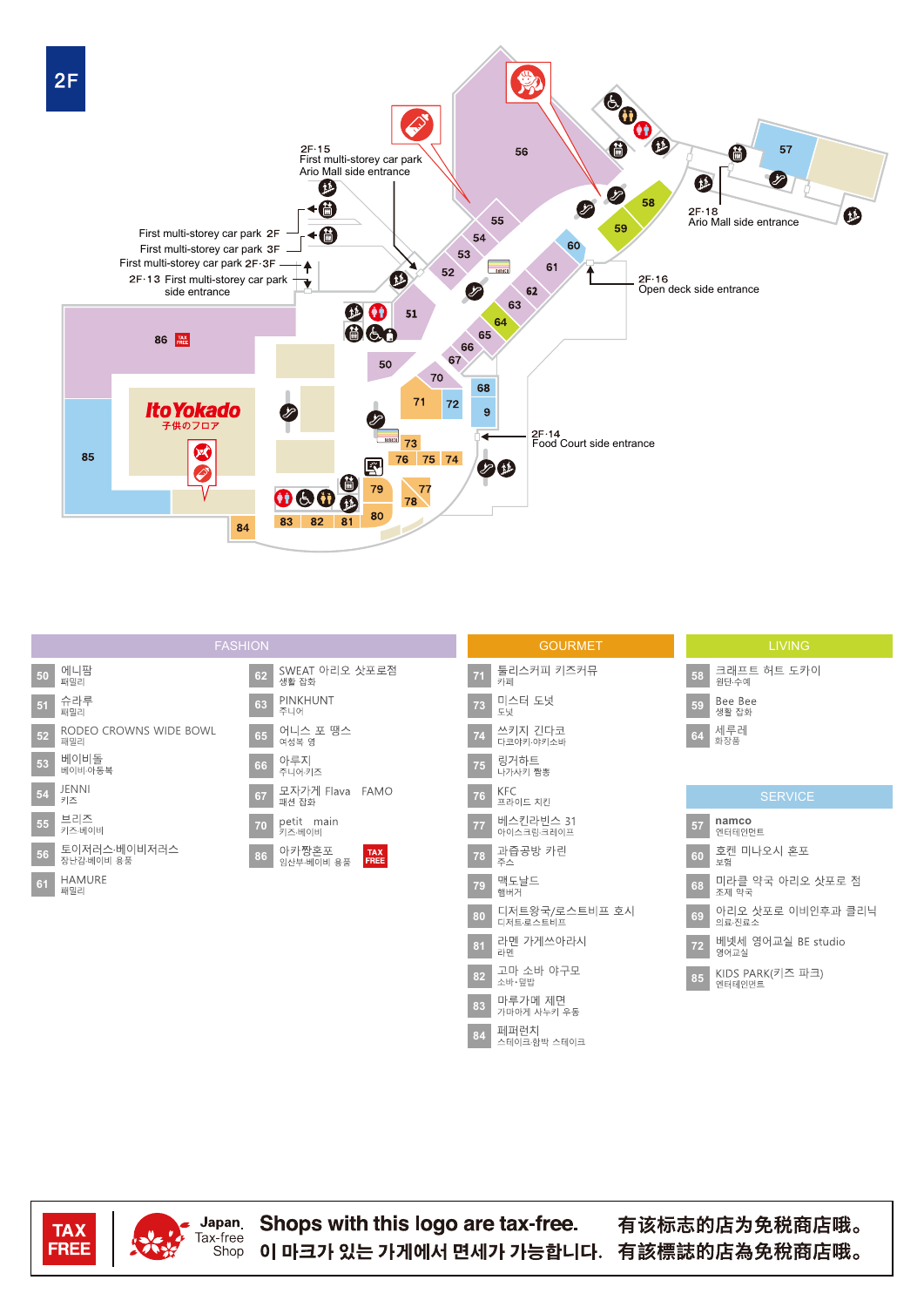



**TAX** FREE



Shops with this logo are tax-free. 이 마크가 있는 가게에서 면세가 가능합니다. 有該標誌的店為免稅商店哦。

有该标志的店为免税商店哦。